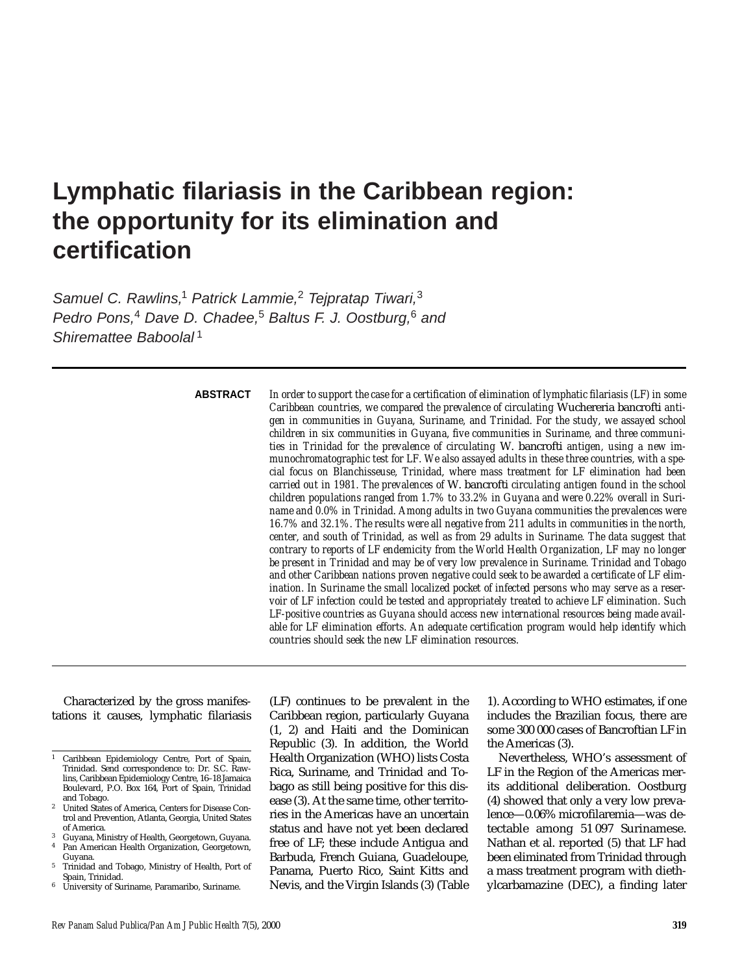# **Lymphatic filariasis in the Caribbean region: the opportunity for its elimination and certification**

Samuel C. Rawlins,<sup>1</sup> Patrick Lammie,<sup>2</sup> Tejpratap Tiwari,<sup>3</sup> Pedro Pons,<sup>4</sup> Dave D. Chadee,<sup>5</sup> Baltus F. J. Oostburg,<sup>6</sup> and Shiremattee Baboolal<sup>1</sup>

## **ABSTRACT**

*In order to support the case for a certification of elimination of lymphatic filariasis (LF) in some Caribbean countries, we compared the prevalence of circulating* Wuchereria bancrofti *antigen in communities in Guyana, Suriname, and Trinidad. For the study, we assayed school children in six communities in Guyana, five communities in Suriname, and three communities in Trinidad for the prevalence of circulating* W. bancrofti *antigen, using a new immunochromatographic test for LF. We also assayed adults in these three countries, with a special focus on Blanchisseuse, Trinidad, where mass treatment for LF elimination had been carried out in 1981. The prevalences of* W. bancrofti *circulating antigen found in the school children populations ranged from 1.7% to 33.2% in Guyana and were 0.22% overall in Suriname and 0.0% in Trinidad. Among adults in two Guyana communities the prevalences were 16.7% and 32.1%. The results were all negative from 211 adults in communities in the north, center, and south of Trinidad, as well as from 29 adults in Suriname. The data suggest that contrary to reports of LF endemicity from the World Health Organization, LF may no longer be present in Trinidad and may be of very low prevalence in Suriname. Trinidad and Tobago and other Caribbean nations proven negative could seek to be awarded a certificate of LF elimination. In Suriname the small localized pocket of infected persons who may serve as a reservoir of LF infection could be tested and appropriately treated to achieve LF elimination. Such LF-positive countries as Guyana should access new international resources being made available for LF elimination efforts. An adequate certification program would help identify which countries should seek the new LF elimination resources.* 

Characterized by the gross manifestations it causes, lymphatic filariasis

(LF) continues to be prevalent in the Caribbean region, particularly Guyana (1, 2) and Haiti and the Dominican Republic (3). In addition, the World Health Organization (WHO) lists Costa Rica, Suriname, and Trinidad and Tobago as still being positive for this disease (3). At the same time, other territories in the Americas have an uncertain status and have not yet been declared free of LF; these include Antigua and Barbuda, French Guiana, Guadeloupe, Panama, Puerto Rico, Saint Kitts and Nevis, and the Virgin Islands (3) (Table

1). According to WHO estimates, if one includes the Brazilian focus, there are some 300 000 cases of Bancroftian LF in the Americas (3).

Nevertheless, WHO's assessment of LF in the Region of the Americas merits additional deliberation. Oostburg (4) showed that only a very low prevalence—0.06% microfilaremia—was detectable among 51 097 Surinamese. Nathan et al. reported (5) that LF had been eliminated from Trinidad through a mass treatment program with diethylcarbamazine (DEC), a finding later

<sup>1</sup> Caribbean Epidemiology Centre, Port of Spain, Trinidad. Send correspondence to: Dr. S.C. Rawlins, Caribbean Epidemiology Centre, 16–18 Jamaica Boulevard, P.O. Box 164, Port of Spain, Trinidad

<sup>&</sup>lt;sup>2</sup> United States of America, Centers for Disease Control and Prevention, Atlanta, Georgia, United States

of America.<br><sup>3</sup> Guyana, Ministry of Health, Georgetown, Guyana.<br><sup>4</sup> Pan American Health Organization, Georgetown,

Guyana. <sup>5</sup> Trinidad and Tobago, Ministry of Health, Port of

Spain, Trinidad. University of Suriname, Paramaribo, Suriname.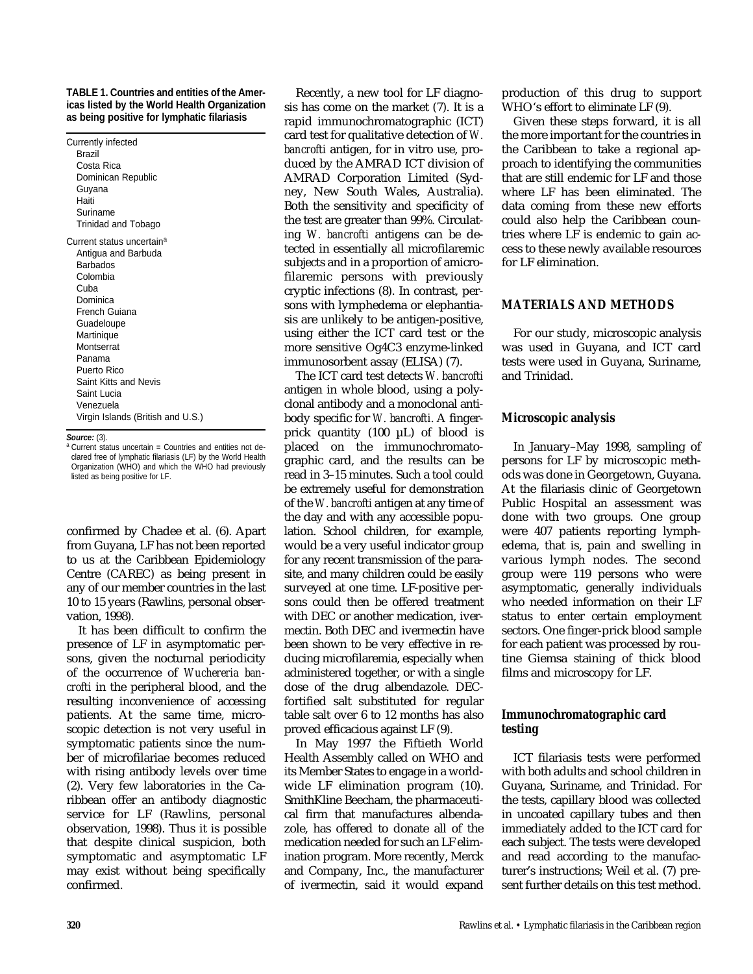#### **TABLE 1. Countries and entities of the Americas listed by the World Health Organization as being positive for lymphatic filariasis**

| Suriname<br>Trinidad and Tobago                                                                                                                                                                                                                                                        |
|----------------------------------------------------------------------------------------------------------------------------------------------------------------------------------------------------------------------------------------------------------------------------------------|
| Current status uncertain <sup>a</sup><br>Antigua and Barbuda<br>Barbados<br>Colombia<br>Cuba<br>Dominica<br>French Guiana<br>Guadeloupe<br>Martinique<br>Montserrat<br>Panama<br>Puerto Rico<br>Saint Kitts and Nevis<br>Saint Lucia<br>Venezuela<br>Virgin Islands (British and U.S.) |

#### **Source:** (3).

<sup>a</sup> Current status uncertain = Countries and entities not declared free of lymphatic filariasis (LF) by the World Health Organization (WHO) and which the WHO had previously listed as being positive for LF.

confirmed by Chadee et al. (6). Apart from Guyana, LF has not been reported to us at the Caribbean Epidemiology Centre (CAREC) as being present in any of our member countries in the last 10 to 15 years (Rawlins, personal observation, 1998).

It has been difficult to confirm the presence of LF in asymptomatic persons, given the nocturnal periodicity of the occurrence of *Wuchereria bancrofti* in the peripheral blood, and the resulting inconvenience of accessing patients. At the same time, microscopic detection is not very useful in symptomatic patients since the number of microfilariae becomes reduced with rising antibody levels over time (2). Very few laboratories in the Caribbean offer an antibody diagnostic service for LF (Rawlins, personal observation, 1998). Thus it is possible that despite clinical suspicion, both symptomatic and asymptomatic LF may exist without being specifically confirmed.

Recently, a new tool for LF diagnosis has come on the market (7). It is a rapid immunochromatographic (ICT) card test for qualitative detection of *W. bancrofti* antigen, for in vitro use, produced by the AMRAD ICT division of AMRAD Corporation Limited (Sydney, New South Wales, Australia). Both the sensitivity and specificity of the test are greater than 99%. Circulating *W. bancrofti* antigens can be detected in essentially all microfilaremic subjects and in a proportion of amicrofilaremic persons with previously cryptic infections (8). In contrast, persons with lymphedema or elephantiasis are unlikely to be antigen-positive, using either the ICT card test or the more sensitive Og4C3 enzyme-linked immunosorbent assay (ELISA) (7).

The ICT card test detects *W. bancrofti* antigen in whole blood, using a polyclonal antibody and a monoclonal antibody specific for *W. bancrofti*. A fingerprick quantity (100 µL) of blood is placed on the immunochromatographic card, and the results can be read in 3–15 minutes. Such a tool could be extremely useful for demonstration of the *W. bancrofti* antigen at any time of the day and with any accessible population. School children, for example, would be a very useful indicator group for any recent transmission of the parasite, and many children could be easily surveyed at one time. LF-positive persons could then be offered treatment with DEC or another medication, ivermectin. Both DEC and ivermectin have been shown to be very effective in reducing microfilaremia, especially when administered together, or with a single dose of the drug albendazole. DECfortified salt substituted for regular table salt over 6 to 12 months has also proved efficacious against LF (9).

In May 1997 the Fiftieth World Health Assembly called on WHO and its Member States to engage in a worldwide LF elimination program (10). SmithKline Beecham, the pharmaceutical firm that manufactures albendazole, has offered to donate all of the medication needed for such an LF elimination program. More recently, Merck and Company, Inc., the manufacturer of ivermectin, said it would expand production of this drug to support WHO's effort to eliminate LF (9).

Given these steps forward, it is all the more important for the countries in the Caribbean to take a regional approach to identifying the communities that are still endemic for LF and those where LF has been eliminated. The data coming from these new efforts could also help the Caribbean countries where LF is endemic to gain access to these newly available resources for LF elimination.

### **MATERIALS AND METHODS**

For our study, microscopic analysis was used in Guyana, and ICT card tests were used in Guyana, Suriname, and Trinidad.

#### **Microscopic analysis**

In January–May 1998, sampling of persons for LF by microscopic methods was done in Georgetown, Guyana. At the filariasis clinic of Georgetown Public Hospital an assessment was done with two groups. One group were 407 patients reporting lymphedema, that is, pain and swelling in various lymph nodes. The second group were 119 persons who were asymptomatic, generally individuals who needed information on their LF status to enter certain employment sectors. One finger-prick blood sample for each patient was processed by routine Giemsa staining of thick blood films and microscopy for LF.

## **Immunochromatographic card testing**

ICT filariasis tests were performed with both adults and school children in Guyana, Suriname, and Trinidad. For the tests, capillary blood was collected in uncoated capillary tubes and then immediately added to the ICT card for each subject. The tests were developed and read according to the manufacturer's instructions; Weil et al. (7) present further details on this test method.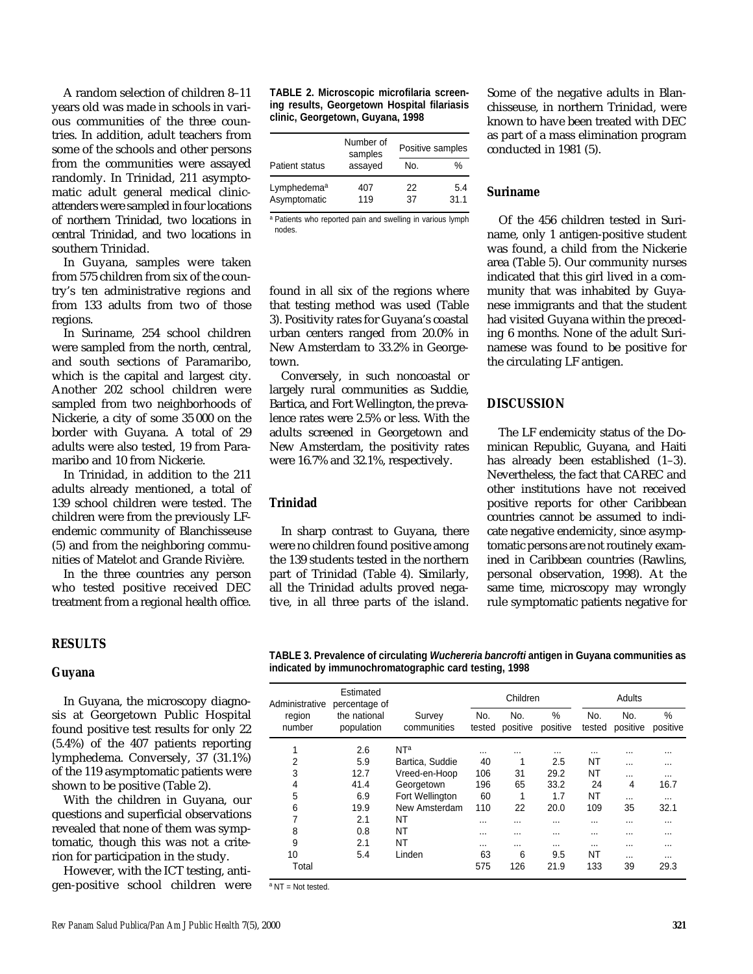A random selection of children 8–11 years old was made in schools in various communities of the three countries. In addition, adult teachers from some of the schools and other persons from the communities were assayed randomly. In Trinidad, 211 asymptomatic adult general medical clinicattenders were sampled in four locations of northern Trinidad, two locations in central Trinidad, and two locations in southern Trinidad.

In Guyana, samples were taken from 575 children from six of the country's ten administrative regions and from 133 adults from two of those regions.

In Suriname, 254 school children were sampled from the north, central, and south sections of Paramaribo, which is the capital and largest city. Another 202 school children were sampled from two neighborhoods of Nickerie, a city of some 35 000 on the border with Guyana. A total of 29 adults were also tested, 19 from Paramaribo and 10 from Nickerie.

In Trinidad, in addition to the 211 adults already mentioned, a total of 139 school children were tested. The children were from the previously LFendemic community of Blanchisseuse (5) and from the neighboring communities of Matelot and Grande Rivière.

In the three countries any person who tested positive received DEC treatment from a regional health office.

#### **RESULTS**

#### **Guyana**

In Guyana, the microscopy diagnosis at Georgetown Public Hospital found positive test results for only 22 (5.4%) of the 407 patients reporting lymphedema. Conversely, 37 (31.1%) of the 119 asymptomatic patients were shown to be positive (Table 2).

With the children in Guyana, our questions and superficial observations revealed that none of them was symptomatic, though this was not a criterion for participation in the study.

However, with the ICT testing, antigen-positive school children were

#### **TABLE 2. Microscopic microfilaria screening results, Georgetown Hospital filariasis clinic, Georgetown, Guyana, 1998**

|                                         | Number of<br>samples | Positive samples |             |  |
|-----------------------------------------|----------------------|------------------|-------------|--|
| <b>Patient status</b>                   | assayed              | No.              | %           |  |
| Lymphedema <sup>a</sup><br>Asymptomatic | 407<br>119           | 22<br>37         | 5.4<br>31.1 |  |

a Patients who reported pain and swelling in various lymph nodes.

found in all six of the regions where that testing method was used (Table 3). Positivity rates for Guyana's coastal urban centers ranged from 20.0% in New Amsterdam to 33.2% in Georgetown.

Conversely, in such noncoastal or largely rural communities as Suddie, Bartica, and Fort Wellington, the prevalence rates were 2.5% or less. With the adults screened in Georgetown and New Amsterdam, the positivity rates were 16.7% and 32.1%, respectively.

### **Trinidad**

In sharp contrast to Guyana, there were no children found positive among the 139 students tested in the northern part of Trinidad (Table 4). Similarly, all the Trinidad adults proved negative, in all three parts of the island. Some of the negative adults in Blanchisseuse, in northern Trinidad, were known to have been treated with DEC as part of a mass elimination program conducted in 1981 (5).

## **Suriname**

Of the 456 children tested in Suriname, only 1 antigen-positive student was found, a child from the Nickerie area (Table 5). Our community nurses indicated that this girl lived in a community that was inhabited by Guyanese immigrants and that the student had visited Guyana within the preceding 6 months. None of the adult Surinamese was found to be positive for the circulating LF antigen.

## **DISCUSSION**

The LF endemicity status of the Dominican Republic, Guyana, and Haiti has already been established  $(1-3)$ . Nevertheless, the fact that CAREC and other institutions have not received positive reports for other Caribbean countries cannot be assumed to indicate negative endemicity, since asymptomatic persons are not routinely examined in Caribbean countries (Rawlins, personal observation, 1998). At the same time, microscopy may wrongly rule symptomatic patients negative for

**TABLE 3. Prevalence of circulating Wuchereria bancrofti antigen in Guyana communities as indicated by immunochromatographic card testing, 1998** 

| Administrative   | Estimated<br>percentage of | Children              |               |                 |                  | Adults        |                 |               |
|------------------|----------------------------|-----------------------|---------------|-----------------|------------------|---------------|-----------------|---------------|
| region<br>number | the national<br>population | Survey<br>communities | No.<br>tested | No.<br>positive | $\%$<br>positive | No.<br>tested | No.<br>positive | %<br>positive |
|                  | 2.6                        | NT <sup>a</sup>       | $\cdots$      | $\cdots$        | $\cdots$         | $\cdots$      | $\cdots$        |               |
| 2                | 5.9                        | Bartica, Suddie       | 40            | 1               | 2.5              | NT            | $\cdots$        |               |
| 3                | 12.7                       | Vreed-en-Hoop         | 106           | 31              | 29.2             | NT            | $\cdots$        |               |
| 4                | 41.4                       | Georgetown            | 196           | 65              | 33.2             | 24            | 4               | 16.7          |
| 5                | 6.9                        | Fort Wellington       | 60            | 1               | 1.7              | NT            | $\cdots$        |               |
| 6                | 19.9                       | New Amsterdam         | 110           | 22              | 20.0             | 109           | 35              | 32.1          |
| 7                | 2.1                        | NT                    | $\cdots$      | $\cdots$        | $\cdots$         | $\cdots$      | $\cdots$        |               |
| 8                | 0.8                        | NT                    | $\cdots$      | $\cdots$        | $\cdots$         | $\cdots$      | $\cdots$        |               |
| 9                | 2.1                        | NT                    | $\cdots$      |                 | $\cdots$         |               | $\cdots$        |               |
| 10               | 5.4                        | Linden                | 63            | 6               | 9.5              | NT            | $\cdots$        |               |
| Total            |                            |                       | 575           | 126             | 21.9             | 133           | 39              | 29.3          |

<sup>a</sup> NT = Not tested.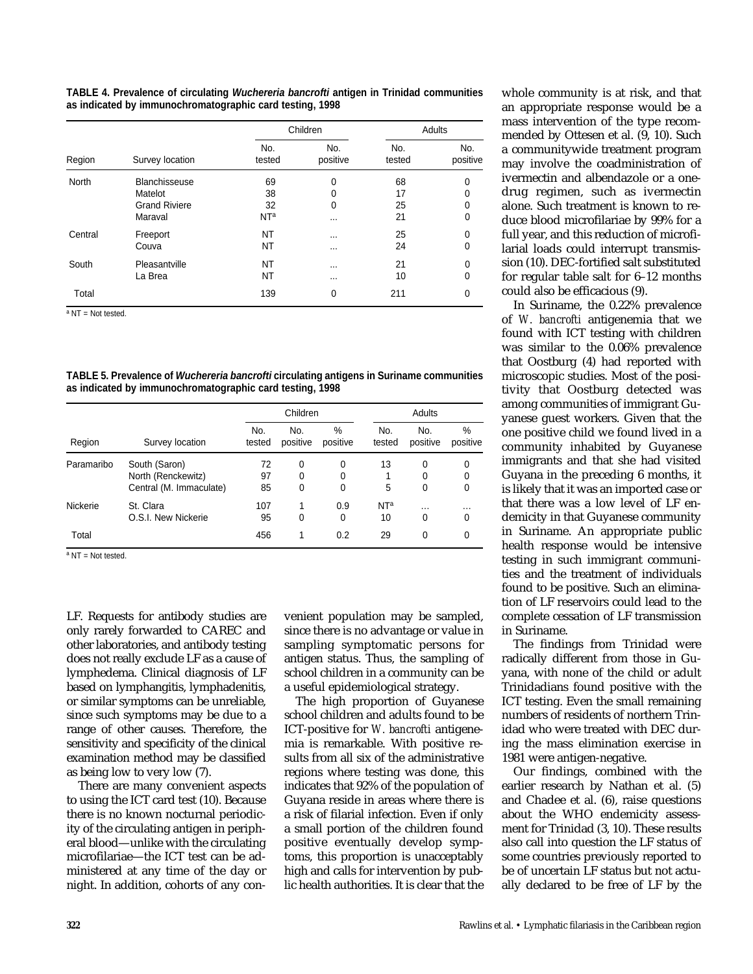**TABLE 4. Prevalence of circulating Wuchereria bancrofti antigen in Trinidad communities as indicated by immunochromatographic card testing, 1998**

| Region       | Survey location      |                 | Children        | <b>Adults</b> |                 |  |
|--------------|----------------------|-----------------|-----------------|---------------|-----------------|--|
|              |                      | No.<br>tested   | No.<br>positive | No.<br>tested | No.<br>positive |  |
| <b>North</b> | Blanchisseuse        | 69              | 0               | 68            | 0               |  |
|              | Matelot              | 38              | 0               | 17            | 0               |  |
|              | <b>Grand Riviere</b> | 32              | 0               | 25            | 0               |  |
|              | Maraval              | N <sub>Ta</sub> | $\cdots$        | 21            | 0               |  |
| Central      | Freeport             | NT              | $\cdots$        | 25            | 0               |  |
|              | Couva                | NT              | $\cdots$        | 24            | 0               |  |
| South        | Pleasantville        | NT              | $\cdots$        | 21            | 0               |  |
|              | La Brea              | NT              | $\cdots$        | 10            | 0               |  |
| Total        |                      | 139             | 0               | 211           | 0               |  |

<sup>a</sup> NT = Not tested.

**TABLE 5. Prevalence of Wuchereria bancrofti circulating antigens in Suriname communities as indicated by immunochromatographic card testing, 1998**

| Region     | Survey location         | Children      |                 |               | Adults          |                 |               |
|------------|-------------------------|---------------|-----------------|---------------|-----------------|-----------------|---------------|
|            |                         | No.<br>tested | No.<br>positive | %<br>positive | No.<br>tested   | No.<br>positive | %<br>positive |
| Paramaribo | South (Saron)           | 72            | 0               | 0             | 13              | 0               | 0             |
|            | North (Renckewitz)      | 97            | 0               | 0             |                 | 0               | 0             |
|            | Central (M. Immaculate) | 85            | 0               | 0             | 5               | 0               | 0             |
| Nickerie   | St. Clara               | 107           | 1               | 0.9           | NT <sup>a</sup> | $\cdots$        | $\cdots$      |
|            | O.S.I. New Nickerie     | 95            | 0               | $\Omega$      | 10              | 0               | 0             |
| Total      |                         | 456           |                 | 0.2           | 29              | 0               | 0             |

 $a$  NT = Not tested.

LF. Requests for antibody studies are only rarely forwarded to CAREC and other laboratories, and antibody testing does not really exclude LF as a cause of lymphedema. Clinical diagnosis of LF based on lymphangitis, lymphadenitis, or similar symptoms can be unreliable, since such symptoms may be due to a range of other causes. Therefore, the sensitivity and specificity of the clinical examination method may be classified as being low to very low (7).

There are many convenient aspects to using the ICT card test (10). Because there is no known nocturnal periodicity of the circulating antigen in peripheral blood—unlike with the circulating microfilariae—the ICT test can be administered at any time of the day or night. In addition, cohorts of any convenient population may be sampled, since there is no advantage or value in sampling symptomatic persons for antigen status. Thus, the sampling of school children in a community can be a useful epidemiological strategy.

The high proportion of Guyanese school children and adults found to be ICT-positive for *W. bancrofti* antigenemia is remarkable. With positive results from all six of the administrative regions where testing was done, this indicates that 92% of the population of Guyana reside in areas where there is a risk of filarial infection. Even if only a small portion of the children found positive eventually develop symptoms, this proportion is unacceptably high and calls for intervention by public health authorities. It is clear that the

whole community is at risk, and that an appropriate response would be a mass intervention of the type recommended by Ottesen et al. (9, 10). Such a communitywide treatment program may involve the coadministration of ivermectin and albendazole or a onedrug regimen, such as ivermectin alone. Such treatment is known to reduce blood microfilariae by 99% for a full year, and this reduction of microfilarial loads could interrupt transmission (10). DEC-fortified salt substituted for regular table salt for 6–12 months could also be efficacious (9).

In Suriname, the 0.22% prevalence of *W. bancrofti* antigenemia that we found with ICT testing with children was similar to the 0.06% prevalence that Oostburg (4) had reported with microscopic studies. Most of the positivity that Oostburg detected was among communities of immigrant Guyanese guest workers. Given that the one positive child we found lived in a community inhabited by Guyanese immigrants and that she had visited Guyana in the preceding 6 months, it is likely that it was an imported case or that there was a low level of LF endemicity in that Guyanese community in Suriname. An appropriate public health response would be intensive testing in such immigrant communities and the treatment of individuals found to be positive. Such an elimination of LF reservoirs could lead to the complete cessation of LF transmission in Suriname.

The findings from Trinidad were radically different from those in Guyana, with none of the child or adult Trinidadians found positive with the ICT testing. Even the small remaining numbers of residents of northern Trinidad who were treated with DEC during the mass elimination exercise in 1981 were antigen-negative.

Our findings, combined with the earlier research by Nathan et al. (5) and Chadee et al. (6), raise questions about the WHO endemicity assessment for Trinidad (3, 10). These results also call into question the LF status of some countries previously reported to be of uncertain LF status but not actually declared to be free of LF by the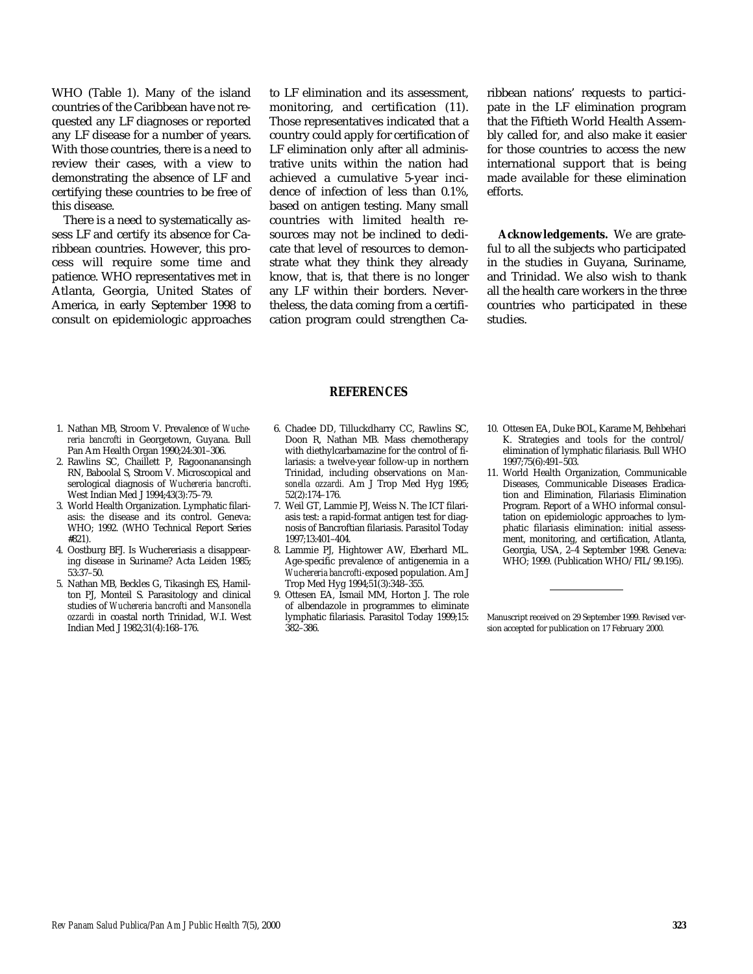WHO (Table 1). Many of the island countries of the Caribbean have not requested any LF diagnoses or reported any LF disease for a number of years. With those countries, there is a need to review their cases, with a view to demonstrating the absence of LF and certifying these countries to be free of this disease.

There is a need to systematically assess LF and certify its absence for Caribbean countries. However, this process will require some time and patience. WHO representatives met in Atlanta, Georgia, United States of America, in early September 1998 to consult on epidemiologic approaches

to LF elimination and its assessment, monitoring, and certification (11). Those representatives indicated that a country could apply for certification of LF elimination only after all administrative units within the nation had achieved a cumulative 5-year incidence of infection of less than 0.1%, based on antigen testing. Many small countries with limited health resources may not be inclined to dedicate that level of resources to demonstrate what they think they already know, that is, that there is no longer any LF within their borders. Nevertheless, the data coming from a certification program could strengthen Caribbean nations' requests to participate in the LF elimination program that the Fiftieth World Health Assembly called for, and also make it easier for those countries to access the new international support that is being made available for these elimination efforts.

**Acknowledgements.** We are grateful to all the subjects who participated in the studies in Guyana, Suriname, and Trinidad. We also wish to thank all the health care workers in the three countries who participated in these studies.

- 1. Nathan MB, Stroom V. Prevalence of *Wuchereria bancrofti* in Georgetown, Guyana. Bull Pan Am Health Organ 1990;24:301–306.
- 2. Rawlins SC, Chaillett P, Ragoonanansingh RN, Baboolal S, Stroom V. Microscopical and serological diagnosis of *Wuchereria bancrofti*. West Indian Med J 1994;43(3):75–79.
- 3. World Health Organization. Lymphatic filariasis: the disease and its control. Geneva: WHO; 1992. (WHO Technical Report Series #821).
- 4. Oostburg BFJ. Is Wuchereriasis a disappearing disease in Suriname? Acta Leiden 1985; 53:37–50.
- 5. Nathan MB, Beckles G, Tikasingh ES, Hamilton PJ, Monteil S. Parasitology and clinical studies of *Wuchereria bancrofti* and *Mansonella ozzardi* in coastal north Trinidad, W.I. West Indian Med J 1982;31(4):168–176.

6. Chadee DD, Tilluckdharry CC, Rawlins SC,

**REFERENCES**

- Doon R, Nathan MB. Mass chemotherapy with diethylcarbamazine for the control of filariasis: a twelve-year follow-up in northern Trinidad, including observations on *Mansonella ozzardi.* Am J Trop Med Hyg 1995; 52(2):174–176.
- 7. Weil GT, Lammie PJ, Weiss N. The ICT filariasis test: a rapid-format antigen test for diagnosis of Bancroftian filariasis. Parasitol Today 1997;13:401–404.
- 8. Lammie PJ, Hightower AW, Eberhard ML. Age-specific prevalence of antigenemia in a *Wuchereria bancrofti-*exposed population. Am J Trop Med Hyg 1994;51(3):348–355.
- 9. Ottesen EA, Ismail MM, Horton J. The role of albendazole in programmes to eliminate lymphatic filariasis. Parasitol Today 1999;15: 382–386.
- 10. Ottesen EA, Duke BOL, Karame M, Behbehari K. Strategies and tools for the control/ elimination of lymphatic filariasis. Bull WHO 1997;75(6):491–503.
- 11. World Health Organization, Communicable Diseases, Communicable Diseases Eradication and Elimination, Filariasis Elimination Program. Report of a WHO informal consultation on epidemiologic approaches to lymphatic filariasis elimination: initial assessment, monitoring, and certification, Atlanta, Georgia, USA, 2–4 September 1998. Geneva: WHO; 1999. (Publication WHO/FIL/99.195).

Manuscript received on 29 September 1999. Revised version accepted for publication on 17 February 2000.